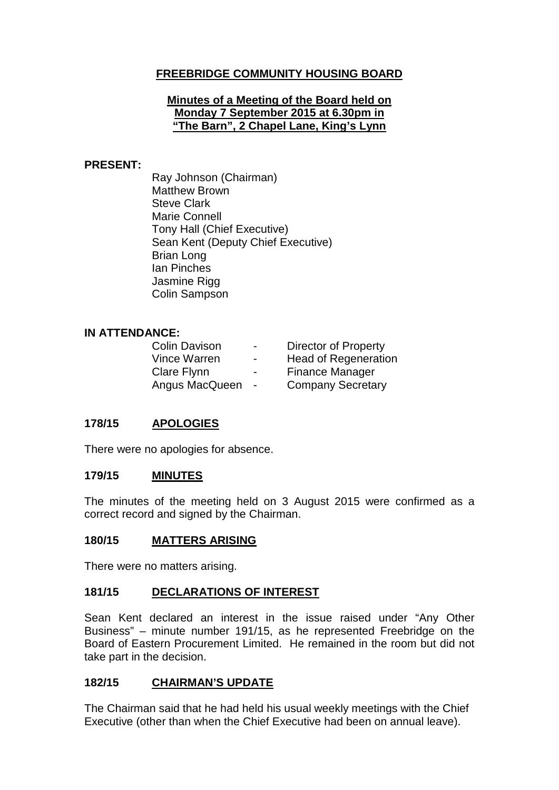## **FREEBRIDGE COMMUNITY HOUSING BOARD**

#### **Minutes of a Meeting of the Board held on Monday 7 September 2015 at 6.30pm in "The Barn", 2 Chapel Lane, King's Lynn**

#### **PRESENT:**

Ray Johnson (Chairman) Matthew Brown Steve Clark Marie Connell Tony Hall (Chief Executive) Sean Kent (Deputy Chief Executive) Brian Long Ian Pinches Jasmine Rigg Colin Sampson

#### **IN ATTENDANCE:**

| <b>Colin Davison</b> | $\overline{\phantom{0}}$ | <b>Director of Property</b> |
|----------------------|--------------------------|-----------------------------|
| Vince Warren         | $\overline{\phantom{0}}$ | <b>Head of Regeneration</b> |
| Clare Flynn          | -                        | <b>Finance Manager</b>      |
| Angus MacQueen       | $\sim$                   | <b>Company Secretary</b>    |

## **178/15 APOLOGIES**

There were no apologies for absence.

### **179/15 MINUTES**

The minutes of the meeting held on 3 August 2015 were confirmed as a correct record and signed by the Chairman.

#### **180/15 MATTERS ARISING**

There were no matters arising.

### **181/15 DECLARATIONS OF INTEREST**

Sean Kent declared an interest in the issue raised under "Any Other Business" – minute number 191/15, as he represented Freebridge on the Board of Eastern Procurement Limited. He remained in the room but did not take part in the decision.

### **182/15 CHAIRMAN'S UPDATE**

The Chairman said that he had held his usual weekly meetings with the Chief Executive (other than when the Chief Executive had been on annual leave).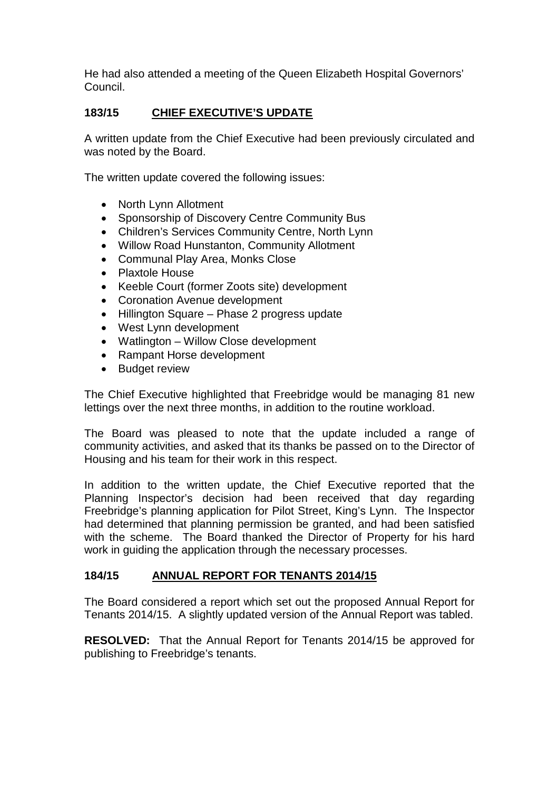He had also attended a meeting of the Queen Elizabeth Hospital Governors' Council.

## **183/15 CHIEF EXECUTIVE'S UPDATE**

A written update from the Chief Executive had been previously circulated and was noted by the Board.

The written update covered the following issues:

- North Lynn Allotment
- Sponsorship of Discovery Centre Community Bus
- Children's Services Community Centre, North Lynn
- Willow Road Hunstanton, Community Allotment
- Communal Play Area, Monks Close
- Plaxtole House
- Keeble Court (former Zoots site) development
- Coronation Avenue development
- Hillington Square Phase 2 progress update
- West Lynn development
- Watlington Willow Close development
- Rampant Horse development
- Budget review

The Chief Executive highlighted that Freebridge would be managing 81 new lettings over the next three months, in addition to the routine workload.

The Board was pleased to note that the update included a range of community activities, and asked that its thanks be passed on to the Director of Housing and his team for their work in this respect.

In addition to the written update, the Chief Executive reported that the Planning Inspector's decision had been received that day regarding Freebridge's planning application for Pilot Street, King's Lynn. The Inspector had determined that planning permission be granted, and had been satisfied with the scheme. The Board thanked the Director of Property for his hard work in guiding the application through the necessary processes.

## **184/15 ANNUAL REPORT FOR TENANTS 2014/15**

The Board considered a report which set out the proposed Annual Report for Tenants 2014/15. A slightly updated version of the Annual Report was tabled.

**RESOLVED:** That the Annual Report for Tenants 2014/15 be approved for publishing to Freebridge's tenants.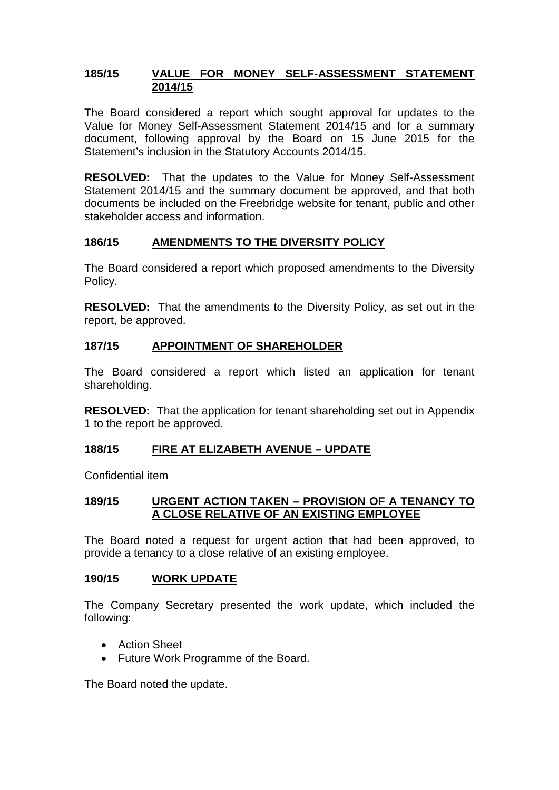### **185/15 VALUE FOR MONEY SELF-ASSESSMENT STATEMENT 2014/15**

The Board considered a report which sought approval for updates to the Value for Money Self-Assessment Statement 2014/15 and for a summary document, following approval by the Board on 15 June 2015 for the Statement's inclusion in the Statutory Accounts 2014/15.

**RESOLVED:** That the updates to the Value for Money Self-Assessment Statement 2014/15 and the summary document be approved, and that both documents be included on the Freebridge website for tenant, public and other stakeholder access and information.

## **186/15 AMENDMENTS TO THE DIVERSITY POLICY**

The Board considered a report which proposed amendments to the Diversity Policy.

**RESOLVED:** That the amendments to the Diversity Policy, as set out in the report, be approved.

## **187/15 APPOINTMENT OF SHAREHOLDER**

The Board considered a report which listed an application for tenant shareholding.

**RESOLVED:** That the application for tenant shareholding set out in Appendix 1 to the report be approved.

## **188/15 FIRE AT ELIZABETH AVENUE – UPDATE**

Confidential item

### **189/15 URGENT ACTION TAKEN – PROVISION OF A TENANCY TO A CLOSE RELATIVE OF AN EXISTING EMPLOYEE**

The Board noted a request for urgent action that had been approved, to provide a tenancy to a close relative of an existing employee.

### **190/15 WORK UPDATE**

The Company Secretary presented the work update, which included the following:

- Action Sheet
- Future Work Programme of the Board.

The Board noted the update.